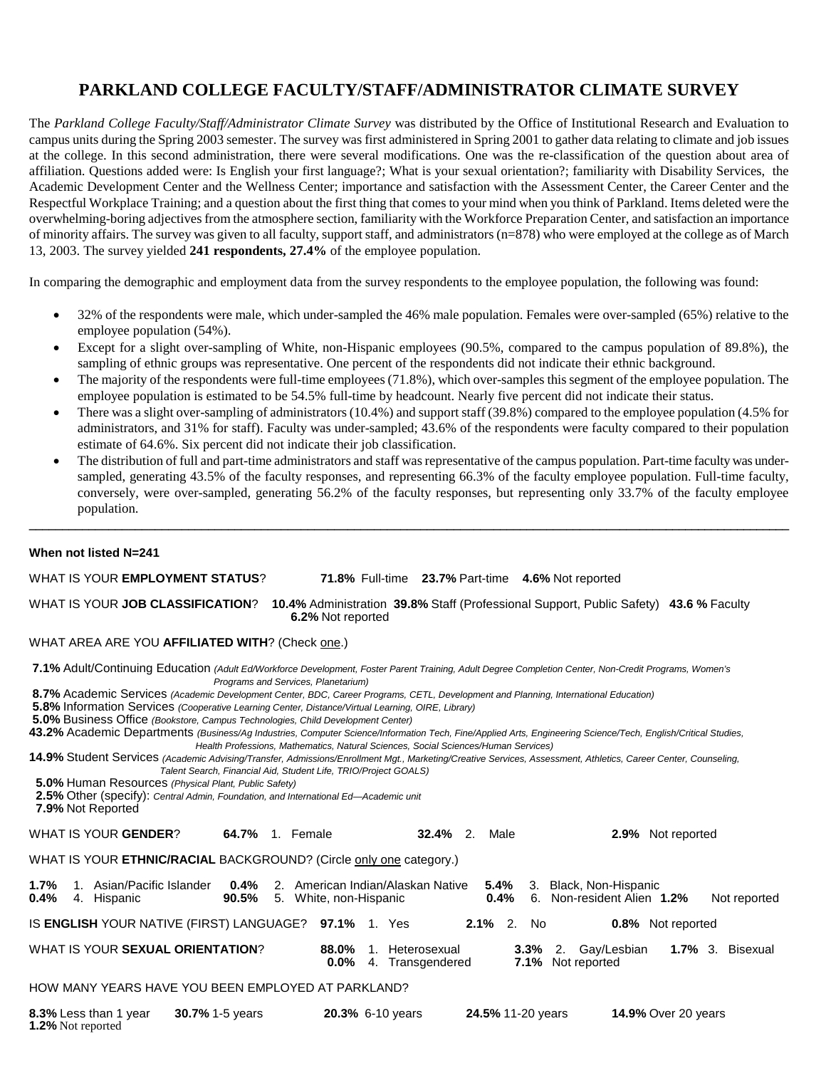# **PARKLAND COLLEGE FACULTY/STAFF/ADMINISTRATOR CLIMATE SURVEY**

The *Parkland College Faculty/Staff/Administrator Climate Survey* was distributed by the Office of Institutional Research and Evaluation to campus units during the Spring 2003 semester. The survey was first administered in Spring 2001 to gather data relating to climate and job issues at the college. In this second administration, there were several modifications. One was the re-classification of the question about area of affiliation. Questions added were: Is English your first language?; What is your sexual orientation?; familiarity with Disability Services, the Academic Development Center and the Wellness Center; importance and satisfaction with the Assessment Center, the Career Center and the Respectful Workplace Training; and a question about the first thing that comes to your mind when you think of Parkland. Items deleted were the overwhelming-boring adjectives from the atmosphere section, familiarity with the Workforce Preparation Center, and satisfaction an importance of minority affairs. The survey was given to all faculty, support staff, and administrators (n=878) who were employed at the college as of March 13, 2003. The survey yielded **241 respondents, 27.4%** of the employee population.

In comparing the demographic and employment data from the survey respondents to the employee population, the following was found:

- 32% of the respondents were male, which under-sampled the 46% male population. Females were over-sampled (65%) relative to the employee population (54%).
- Except for a slight over-sampling of White, non-Hispanic employees (90.5%, compared to the campus population of 89.8%), the sampling of ethnic groups was representative. One percent of the respondents did not indicate their ethnic background.
- The majority of the respondents were full-time employees (71.8%), which over-samples this segment of the employee population. The employee population is estimated to be 54.5% full-time by headcount. Nearly five percent did not indicate their status.
- There was a slight over-sampling of administrators (10.4%) and support staff (39.8%) compared to the employee population (4.5% for administrators, and 31% for staff). Faculty was under-sampled; 43.6% of the respondents were faculty compared to their population estimate of 64.6%. Six percent did not indicate their job classification.
- The distribution of full and part-time administrators and staff was representative of the campus population. Part-time faculty was undersampled, generating 43.5% of the faculty responses, and representing 66.3% of the faculty employee population. Full-time faculty, conversely, were over-sampled, generating 56.2% of the faculty responses, but representing only 33.7% of the faculty employee population.

**\_\_\_\_\_\_\_\_\_\_\_\_\_\_\_\_\_\_\_\_\_\_\_\_\_\_\_\_\_\_\_\_\_\_\_\_\_\_\_\_\_\_\_\_\_\_\_\_\_\_\_\_\_\_\_\_\_\_\_\_\_\_\_\_\_\_\_\_\_\_\_\_\_\_\_\_\_\_\_\_\_\_\_\_\_\_\_\_\_\_\_\_\_\_\_\_\_\_\_\_\_\_\_\_\_\_\_\_\_\_\_\_\_\_\_**

#### **When not listed N=241**

WHAT IS YOUR **EMPLOYMENT STATUS**? **71.8%** Full-time **23.7%** Part-time **4.6%** Not reported WHAT IS YOUR **JOB CLASSIFICATION**? **10.4%** Administration **39.8%** Staff (Professional Support, Public Safety) **43.6 %** Faculty **6.2%** Not reported WHAT AREA ARE YOU AFFILIATED WITH? (Check one.) **7.1%** Adult/Continuing Education *(Adult Ed/Workforce Development, Foster Parent Training, Adult Degree Completion Center, Non-Credit Programs, Women's Programs and Services, Planetarium)* **8.7%** Academic Services *(Academic Development Center, BDC, Career Programs, CETL, Development and Planning, International Education)*  **5.8%** Information Services *(Cooperative Learning Center, Distance/Virtual Learning, OIRE, Library)* **5.0%** Business Office *(Bookstore, Campus Technologies, Child Development Center)* **43.2%** Academic Departments *(Business/Ag Industries, Computer Science/Information Tech, Fine/Applied Arts, Engineering Science/Tech, English/Critical Studies, Health Professions, Mathematics, Natural Sciences, Social Sciences/Human Services)* **14.9%** Student Services *(Academic Advising/Transfer, Admissions/Enrollment Mgt., Marketing/Creative Services, Assessment, Athletics, Career Center, Counseling, Talent Search, Financial Aid, Student Life, TRIO/Project GOALS)*  **5.0%** Human Resources *(Physical Plant, Public Safety)*  **2.5%** Other (specify): *Central Admin, Foundation, and International Ed—Academic unit*  **7.9%** Not Reported WHAT IS YOUR **GENDER**? **64.7%** 1. Female **32.4%** 2. Male **2.9%** Not reported WHAT IS YOUR **ETHNIC/RACIAL** BACKGROUND? (Circle only one category.) **1.7%** 1. Asian/Pacific Islander **0.4%** 2. American Indian/Alaskan Native **5.4%** 3. Black, Non-Hispanic **0.4%** 4. Hispanic **90.5%** 5. White, non-Hispanic **0.4%** 6. Non-resident Alien **1.2%** Not reported IS **ENGLISH** YOUR NATIVE (FIRST) LANGUAGE? **97.1%** 1. Yes **2.1%** 2. No **0.8%** Not reported WHAT IS YOUR **SEXUAL ORIENTATION**? **88.0%** 1. Heterosexual **3.3%** 2. Gay/Lesbian **1.7%** 3. Bisexual **0.0%** 4. Transgendered

### HOW MANY YEARS HAVE YOU BEEN EMPLOYED AT PARKLAND?

| 8.3% Less than 1 year    | <b>30.7%</b> 1-5 years | <b>20.3% 6-10 years</b> | 24.5% 11-20 years | <b>14.9% Over 20 years</b> |
|--------------------------|------------------------|-------------------------|-------------------|----------------------------|
| <b>1.2%</b> Not reported |                        |                         |                   |                            |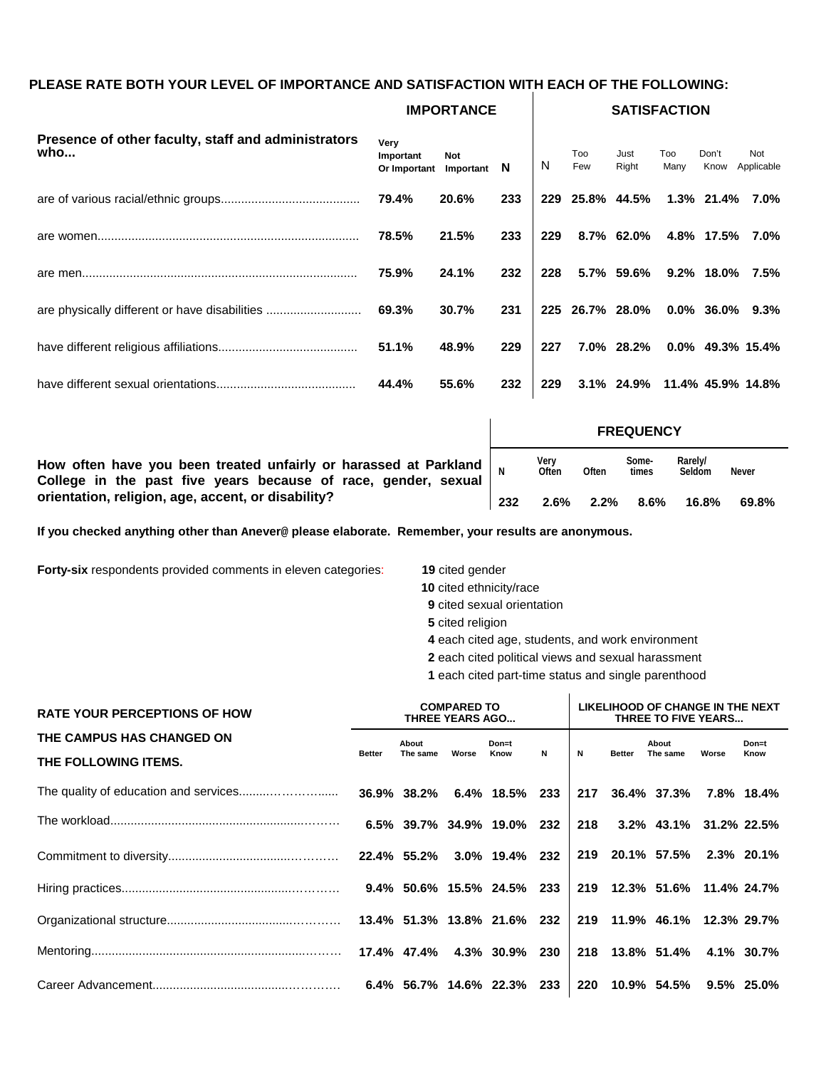### **PLEASE RATE BOTH YOUR LEVEL OF IMPORTANCE AND SATISFACTION WITH EACH OF THE FOLLOWING:**

|                                                            |                                             | <b>IMPORTANCE</b> |     | <b>SATISFACTION</b> |             |                              |             |               |                     |
|------------------------------------------------------------|---------------------------------------------|-------------------|-----|---------------------|-------------|------------------------------|-------------|---------------|---------------------|
| Presence of other faculty, staff and administrators<br>who | Very<br>Important<br>Or Important Important | Not               | N   | N                   | Too<br>Few  | Just<br>Right                | Too<br>Many | Don't<br>Know | Not<br>Applicable   |
|                                                            | 79.4%                                       | 20.6%             | 233 | 229                 | 25.8% 44.5% |                              |             | 1.3% 21.4%    | $7.0\%$             |
|                                                            | 78.5%                                       | 21.5%             | 233 | 229                 |             | 8.7% 62.0%                   |             | 4.8% 17.5%    | 7.0%                |
|                                                            | 75.9%                                       | 24.1%             | 232 | 228                 |             | 5.7% 59.6%                   |             | $9.2\%$ 18.0% | 7.5%                |
| are physically different or have disabilities              | 69.3%                                       | 30.7%             | 231 |                     |             | 225 26.7% 28.0%              |             |               | $0.0\%$ 36.0% 9.3%  |
|                                                            | 51.1%                                       | 48.9%             | 229 | 227                 |             | 7.0% 28.2%                   |             |               | $0.0\%$ 49.3% 15.4% |
|                                                            | 44.4%                                       | 55.6%             | 232 | 229                 |             | 3.1% 24.9% 11.4% 45.9% 14.8% |             |               |                     |

|                                                                                                                                                |     |               |         | <b>FREQUENCY</b> |                   |              |
|------------------------------------------------------------------------------------------------------------------------------------------------|-----|---------------|---------|------------------|-------------------|--------------|
| How often have you been treated unfairly or harassed at Parkland $\vert_{N}$<br>College in the past five years because of race, gender, sexual |     | Very<br>Often | Often   | Some-<br>times   | Rarely/<br>Seldom | <b>Never</b> |
| orientation, religion, age, accent, or disability?                                                                                             | 232 | $2.6\%$       | $2.2\%$ | $8.6\%$          | 16.8%             | 69.8%        |

**If you checked anything other than Anever@ please elaborate. Remember, your results are anonymous.**

**Forty-six** respondents provided comments in eleven categories: **19** cited gender

- **10** cited ethnicity/race
- **9** cited sexual orientation
- **5** cited religion
- **4** each cited age, students, and work environment
- **2** each cited political views and sexual harassment
- **1** each cited part-time status and single parenthood  $\mathbf{r}$

| <b>RATE YOUR PERCEPTIONS OF HOW</b>               | <b>COMPARED TO</b><br><b>THREE YEARS AGO</b> |                   |       |                            |             |             | LIKELIHOOD OF CHANGE IN THE NEXT<br>THREE TO FIVE YEARS |                             |       |               |  |
|---------------------------------------------------|----------------------------------------------|-------------------|-------|----------------------------|-------------|-------------|---------------------------------------------------------|-----------------------------|-------|---------------|--|
| THE CAMPUS HAS CHANGED ON<br>THE FOLLOWING ITEMS. | <b>Better</b>                                | About<br>The same | Worse | Don=t<br>Know              | $\mathbf N$ | $\mathbf N$ | <b>Better</b>                                           | About<br>The same           | Worse | Don=t<br>Know |  |
|                                                   |                                              |                   |       |                            |             |             |                                                         | 217 36.4% 37.3% 7.8% 18.4%  |       |               |  |
|                                                   |                                              |                   |       | 6.5% 39.7% 34.9% 19.0% 232 |             | 218         |                                                         | $3.2\%$ 43.1% 31.2% 22.5%   |       |               |  |
|                                                   |                                              |                   |       |                            |             |             |                                                         | 219 20.1% 57.5% 2.3% 20.1%  |       |               |  |
|                                                   |                                              |                   |       |                            |             |             |                                                         | 219 12.3% 51.6% 11.4% 24.7% |       |               |  |
|                                                   |                                              |                   |       |                            |             |             |                                                         | 219 11.9% 46.1% 12.3% 29.7% |       |               |  |
|                                                   |                                              |                   |       |                            |             |             |                                                         | 218 13.8% 51.4% 4.1% 30.7%  |       |               |  |
|                                                   |                                              |                   |       |                            |             | 220         |                                                         | 10.9% 54.5% 9.5% 25.0%      |       |               |  |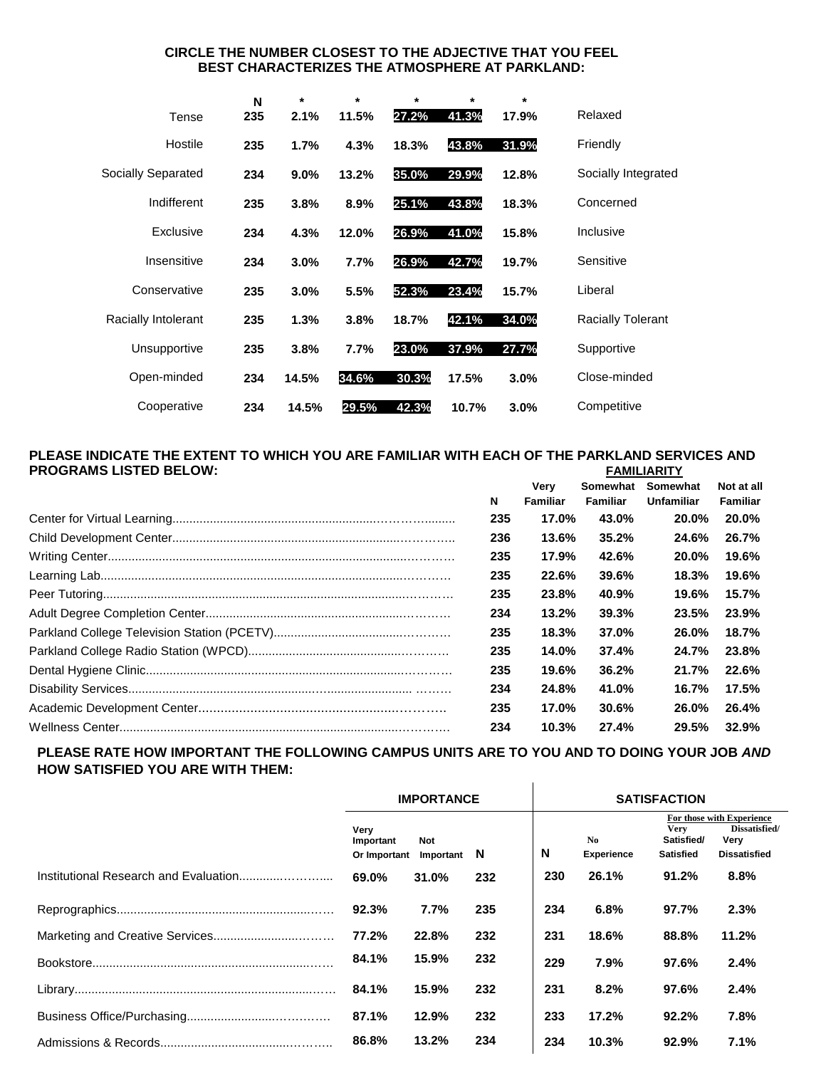### **CIRCLE THE NUMBER CLOSEST TO THE ADJECTIVE THAT YOU FEEL BEST CHARACTERIZES THE ATMOSPHERE AT PARKLAND:**

|                     | N   | $\star$ | $\star$ | $\star$ | $\star$ | $\star$ |                          |
|---------------------|-----|---------|---------|---------|---------|---------|--------------------------|
| Tense               | 235 | 2.1%    | 11.5%   | 27.2%   | 41.3%   | 17.9%   | Relaxed                  |
| Hostile             | 235 | 1.7%    | 4.3%    | 18.3%   | 43.8%   | 31.9%   | Friendly                 |
| Socially Separated  | 234 | 9.0%    | 13.2%   | 35.0%   | 29.9%   | 12.8%   | Socially Integrated      |
| Indifferent         | 235 | 3.8%    | 8.9%    | 25.1%   | 43.8%   | 18.3%   | Concerned                |
| Exclusive           | 234 | 4.3%    | 12.0%   | 26.9%   | 41.0%   | 15.8%   | Inclusive                |
| Insensitive         | 234 | 3.0%    | 7.7%    | 26.9%   | 42.7%   | 19.7%   | Sensitive                |
| Conservative        | 235 | 3.0%    | 5.5%    | 52.3%   | 23.4%   | 15.7%   | Liberal                  |
| Racially Intolerant | 235 | 1.3%    | 3.8%    | 18.7%   | 42.1%   | 34.0%   | <b>Racially Tolerant</b> |
| Unsupportive        | 235 | 3.8%    | 7.7%    | 23.0%   | 37.9%   | 27.7%   | Supportive               |
| Open-minded         | 234 | 14.5%   | 34.6%   | 30.3%   | 17.5%   | 3.0%    | Close-minded             |
| Cooperative         | 234 | 14.5%   | 29.5%   | 42.3%   | 10.7%   | 3.0%    | Competitive              |

#### **PLEASE INDICATE THE EXTENT TO WHICH YOU ARE FAMILIAR WITH EACH OF THE PARKLAND SERVICES AND PROGRAMS LISTED BELOW: FAMILIARITY**

|     | Very            | Somewhat | Somewhat     | Not at all  |
|-----|-----------------|----------|--------------|-------------|
| N   | <b>Familiar</b> | Familiar | Unfamiliar   | Familiar    |
| 235 | 17.0%           | 43.0%    | <b>20.0%</b> | 20.0%       |
| 236 | 13.6%           | 35.2%    | 24.6%        | 26.7%       |
| 235 | 17.9%           | 42.6%    | <b>20.0%</b> | 19.6%       |
| 235 | 22.6%           | 39.6%    | 18.3%        | 19.6%       |
| 235 | 23.8%           | 40.9%    | 19.6%        | 15.7%       |
| 234 | 13.2%           | 39.3%    | 23.5%        | 23.9%       |
| 235 | 18.3%           | 37.0%    | <b>26.0%</b> | 18.7%       |
| 235 | 14.0%           | 37.4%    | 24.7%        | 23.8%       |
| 235 | 19.6%           | 36.2%    | 21.7%        | 22.6%       |
| 234 | 24.8%           | 41.0%    | 16.7%        | 17.5%       |
| 235 | 17.0%           | 30.6%    | <b>26.0%</b> | 26.4%       |
| 234 | 10.3%           | 27.4%    |              | 29.5% 32.9% |

#### **PLEASE RATE HOW IMPORTANT THE FOLLOWING CAMPUS UNITS ARE TO YOU AND TO DOING YOUR JOB** *AND* **HOW SATISFIED YOU ARE WITH THEM:**  $\mathbf{L}$

|                   | <b>IMPORTANCE</b>                                 |     | <b>SATISFACTION</b> |                                               |                                                                           |       |  |  |
|-------------------|---------------------------------------------------|-----|---------------------|-----------------------------------------------|---------------------------------------------------------------------------|-------|--|--|
| Very<br>Important | No.<br>Not<br>N<br>N<br>Or Important<br>Important |     | <b>Experience</b>   | <b>Very</b><br>Satisfied/<br><b>Satisfied</b> | For those with Experience<br>Dissatisfied/<br>Very<br><b>Dissatisfied</b> |       |  |  |
| 69.0%             | 31.0%                                             | 232 | 230                 | 26.1%                                         | 91.2%                                                                     | 8.8%  |  |  |
| 92.3%             | 7.7%                                              | 235 | 234                 | 6.8%                                          | 97.7%                                                                     | 2.3%  |  |  |
| 77.2%             | 22.8%                                             | 232 | 231                 | 18.6%                                         | 88.8%                                                                     | 11.2% |  |  |
| 84.1%             | 15.9%                                             | 232 | 229                 | 7.9%                                          | 97.6%                                                                     | 2.4%  |  |  |
| 84.1%             | 15.9%                                             | 232 | 231                 | 8.2%                                          | 97.6%                                                                     | 2.4%  |  |  |
| 87.1%             | 12.9%                                             | 232 | 233                 | 17.2%                                         | 92.2%                                                                     | 7.8%  |  |  |
| 86.8%             | 13.2%                                             | 234 | 234                 | 10.3%                                         | 92.9%                                                                     | 7.1%  |  |  |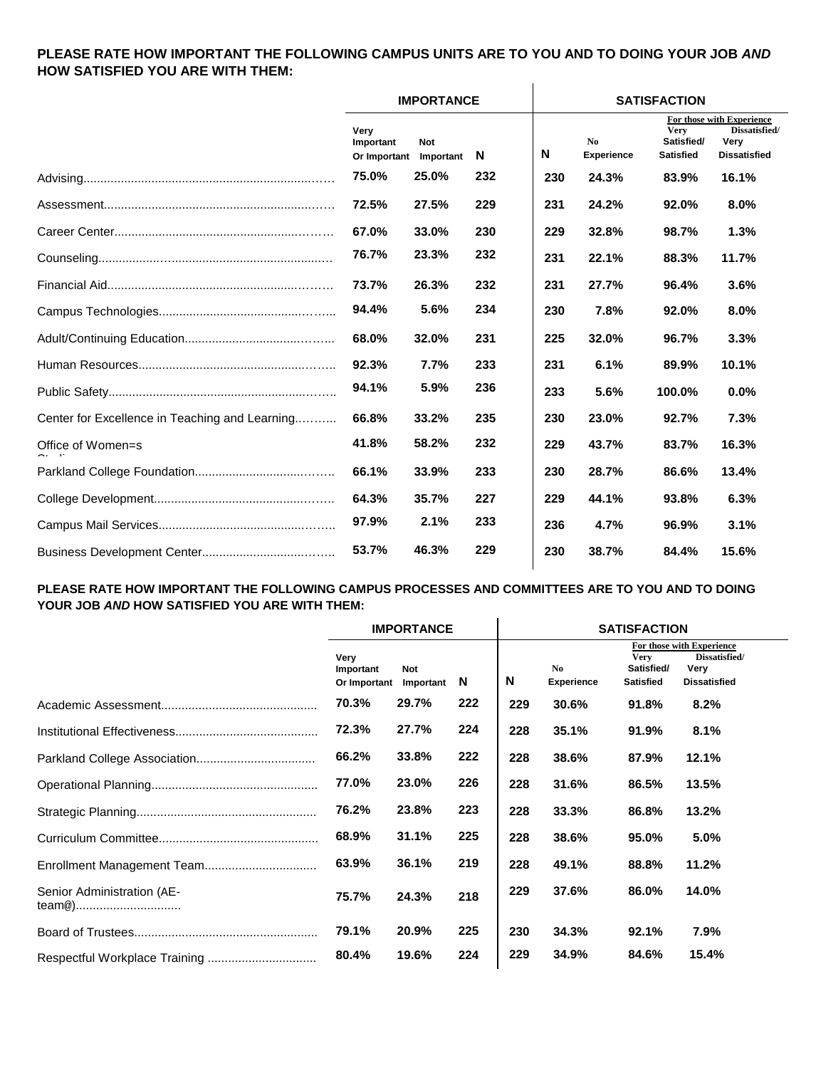## **PLEASE RATE HOW IMPORTANT THE FOLLOWING CAMPUS UNITS ARE TO YOU AND TO DOING YOUR JOB** *AND* **HOW SATISFIED YOU ARE WITH THEM:**

|                                                |                                   | <b>IMPORTANCE</b> |     |     |                         | <b>SATISFACTION</b>                           |                                                                           |  |  |
|------------------------------------------------|-----------------------------------|-------------------|-----|-----|-------------------------|-----------------------------------------------|---------------------------------------------------------------------------|--|--|
|                                                | Very<br>Important<br>Or Important | Not<br>Important  | N   | Ν   | No<br><b>Experience</b> | <b>Very</b><br>Satisfied/<br><b>Satisfied</b> | For those with Experience<br>Dissatisfied/<br>Very<br><b>Dissatisfied</b> |  |  |
|                                                | 75.0%                             | 25.0%             | 232 | 230 | 24.3%                   | 83.9%                                         | 16.1%                                                                     |  |  |
|                                                | 72.5%                             | 27.5%             | 229 | 231 | 24.2%                   | 92.0%                                         | 8.0%                                                                      |  |  |
|                                                | 67.0%                             | 33.0%             | 230 | 229 | 32.8%                   | 98.7%                                         | 1.3%                                                                      |  |  |
|                                                | 76.7%                             | 23.3%             | 232 | 231 | 22.1%                   | 88.3%                                         | 11.7%                                                                     |  |  |
|                                                | 73.7%                             | 26.3%             | 232 | 231 | 27.7%                   | 96.4%                                         | 3.6%                                                                      |  |  |
|                                                | 94.4%                             | 5.6%              | 234 | 230 | 7.8%                    | 92.0%                                         | 8.0%                                                                      |  |  |
|                                                | 68.0%                             | 32.0%             | 231 | 225 | 32.0%                   | 96.7%                                         | 3.3%                                                                      |  |  |
|                                                | 92.3%                             | 7.7%              | 233 | 231 | 6.1%                    | 89.9%                                         | 10.1%                                                                     |  |  |
|                                                | 94.1%                             | 5.9%              | 236 | 233 | 5.6%                    | 100.0%                                        | 0.0%                                                                      |  |  |
| Center for Excellence in Teaching and Learning | 66.8%                             | 33.2%             | 235 | 230 | 23.0%                   | 92.7%                                         | 7.3%                                                                      |  |  |
| Office of Women=s                              | 41.8%                             | 58.2%             | 232 | 229 | 43.7%                   | 83.7%                                         | 16.3%                                                                     |  |  |
|                                                | 66.1%                             | 33.9%             | 233 | 230 | 28.7%                   | 86.6%                                         | 13.4%                                                                     |  |  |
|                                                | 64.3%                             | 35.7%             | 227 | 229 | 44.1%                   | 93.8%                                         | 6.3%                                                                      |  |  |
|                                                | 97.9%                             | 2.1%              | 233 | 236 | 4.7%                    | 96.9%                                         | 3.1%                                                                      |  |  |
|                                                | 53.7%                             | 46.3%             | 229 | 230 | 38.7%                   | 84.4%                                         | 15.6%                                                                     |  |  |

#### **PLEASE RATE HOW IMPORTANT THE FOLLOWING CAMPUS PROCESSES AND COMMITTEES ARE TO YOU AND TO DOING YOUR JOB** *AND* **HOW SATISFIED YOU ARE WITH THEM:**  $\mathbf{r}$

|                                      |                                   | <b>IMPORTANCE</b>       |     | <b>SATISFACTION</b> |                                     |                                        |                                                                           |  |  |
|--------------------------------------|-----------------------------------|-------------------------|-----|---------------------|-------------------------------------|----------------------------------------|---------------------------------------------------------------------------|--|--|
|                                      | Very<br>Important<br>Or Important | <b>Not</b><br>Important | N   | N                   | N <sub>0</sub><br><b>Experience</b> | Very<br>Satisfied/<br><b>Satisfied</b> | For those with Experience<br>Dissatisfied/<br>Very<br><b>Dissatisfied</b> |  |  |
|                                      | 70.3%                             | 29.7%                   | 222 | 229                 | 30.6%                               | 91.8%                                  | 8.2%                                                                      |  |  |
|                                      | 72.3%                             | 27.7%                   | 224 | 228                 | 35.1%                               | 91.9%                                  | 8.1%                                                                      |  |  |
|                                      | 66.2%                             | 33.8%                   | 222 | 228                 | 38.6%                               | 87.9%                                  | 12.1%                                                                     |  |  |
|                                      | 77.0%                             | 23.0%                   | 226 | 228                 | 31.6%                               | 86.5%                                  | 13.5%                                                                     |  |  |
|                                      | 76.2%                             | 23.8%                   | 223 | 228                 | 33.3%                               | 86.8%                                  | 13.2%                                                                     |  |  |
|                                      | 68.9%                             | 31.1%                   | 225 | 228                 | 38.6%                               | 95.0%                                  | 5.0%                                                                      |  |  |
| Enrollment Management Team           | 63.9%                             | 36.1%                   | 219 | 228                 | 49.1%                               | 88.8%                                  | 11.2%                                                                     |  |  |
| Senior Administration (AE-<br>team@) | 75.7%                             | 24.3%                   | 218 | 229                 | 37.6%                               | 86.0%                                  | 14.0%                                                                     |  |  |
|                                      | 79.1%                             | 20.9%                   | 225 | 230                 | 34.3%                               | 92.1%                                  | 7.9%                                                                      |  |  |
|                                      | 80.4%                             | 19.6%                   | 224 | 229                 | 34.9%                               | 84.6%                                  | 15.4%                                                                     |  |  |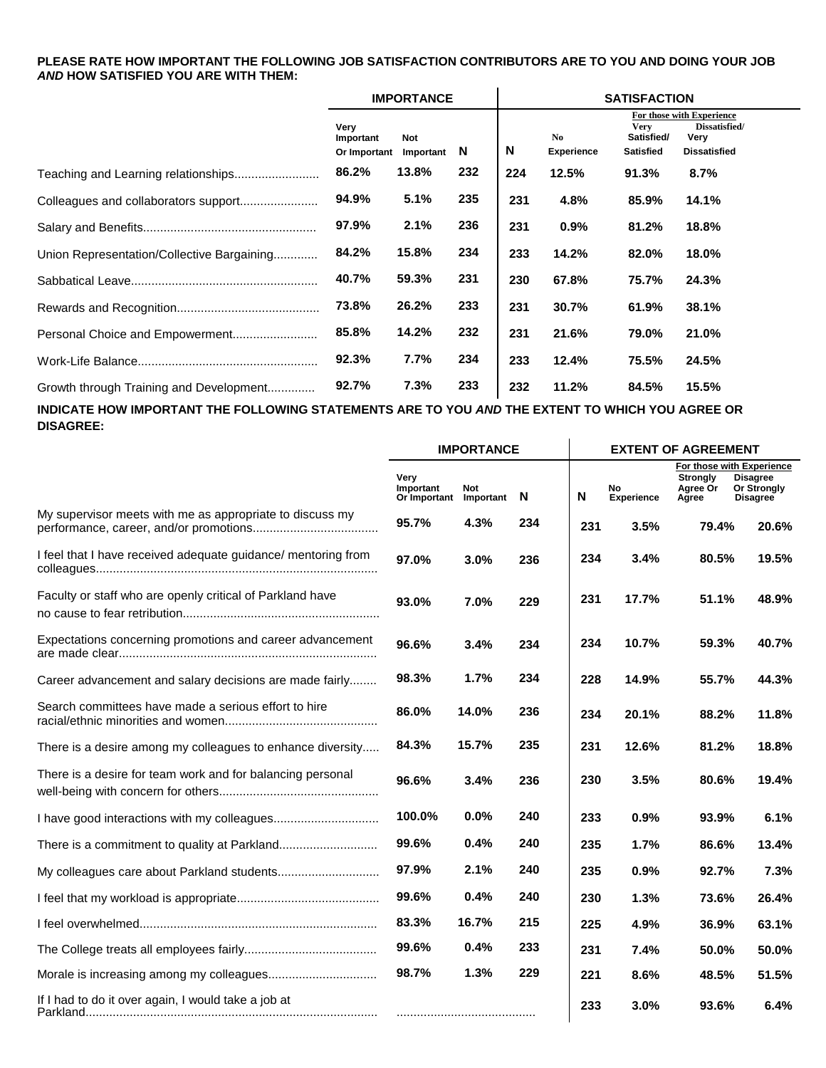### **PLEASE RATE HOW IMPORTANT THE FOLLOWING JOB SATISFACTION CONTRIBUTORS ARE TO YOU AND DOING YOUR JOB** *AND* **HOW SATISFIED YOU ARE WITH THEM:**

|                                            |                                   | <b>IMPORTANCE</b>  |     |     |                                     | <b>SATISFACTION</b>                           |                                                                           |
|--------------------------------------------|-----------------------------------|--------------------|-----|-----|-------------------------------------|-----------------------------------------------|---------------------------------------------------------------------------|
|                                            | Very<br>Important<br>Or Important | Not<br>Important N |     | N   | N <sub>0</sub><br><b>Experience</b> | <b>Very</b><br>Satisfied/<br><b>Satisfied</b> | For those with Experience<br>Dissatisfied/<br>Very<br><b>Dissatisfied</b> |
| Teaching and Learning relationships        | 86.2%                             | 13.8%              | 232 | 224 | 12.5%                               | 91.3%                                         | 8.7%                                                                      |
|                                            | 94.9%                             | 5.1%               | 235 | 231 | 4.8%                                | 85.9%                                         | 14.1%                                                                     |
|                                            | 97.9%                             | 2.1%               | 236 | 231 | 0.9%                                | 81.2%                                         | 18.8%                                                                     |
| Union Representation/Collective Bargaining | 84.2%                             | 15.8%              | 234 | 233 | 14.2%                               | 82.0%                                         | 18.0%                                                                     |
|                                            | 40.7%                             | 59.3%              | 231 | 230 | 67.8%                               | 75.7%                                         | 24.3%                                                                     |
|                                            | 73.8%                             | 26.2%              | 233 | 231 | 30.7%                               | 61.9%                                         | 38.1%                                                                     |
|                                            | 85.8%                             | 14.2%              | 232 | 231 | 21.6%                               | 79.0%                                         | 21.0%                                                                     |
|                                            | 92.3%                             | 7.7%               | 234 | 233 | 12.4%                               | 75.5%                                         | 24.5%                                                                     |
| Growth through Training and Development    | 92.7%                             | 7.3%               | 233 | 232 | 11.2%                               | 84.5%                                         | 15.5%                                                                     |

**INDICATE HOW IMPORTANT THE FOLLOWING STATEMENTS ARE TO YOU** *AND* **THE EXTENT TO WHICH YOU AGREE OR DISAGREE:**  $\mathbf{I}$ 

|                                                               | <b>IMPORTANCE</b>                 |                  |     | <b>EXTENT OF AGREEMENT</b> |                  |                               |                                                                                       |  |  |
|---------------------------------------------------------------|-----------------------------------|------------------|-----|----------------------------|------------------|-------------------------------|---------------------------------------------------------------------------------------|--|--|
|                                                               | Very<br>Important<br>Or Important | Not<br>Important | N   | N                          | No<br>Experience | Strongly<br>Agree Or<br>Agree | For those with Experience<br><b>Disagree</b><br><b>Or Strongly</b><br><b>Disagree</b> |  |  |
| My supervisor meets with me as appropriate to discuss my      | 95.7%                             | 4.3%             | 234 | 231                        | 3.5%             | 79.4%                         | 20.6%                                                                                 |  |  |
| I feel that I have received adequate guidance/ mentoring from | 97.0%                             | 3.0%             | 236 | 234                        | 3.4%             | 80.5%                         | 19.5%                                                                                 |  |  |
| Faculty or staff who are openly critical of Parkland have     | 93.0%                             | 7.0%             | 229 | 231                        | 17.7%            | 51.1%                         | 48.9%                                                                                 |  |  |
| Expectations concerning promotions and career advancement     | 96.6%                             | 3.4%             | 234 | 234                        | 10.7%            | 59.3%                         | 40.7%                                                                                 |  |  |
| Career advancement and salary decisions are made fairly       | 98.3%                             | 1.7%             | 234 | 228                        | 14.9%            | 55.7%                         | 44.3%                                                                                 |  |  |
| Search committees have made a serious effort to hire          | 86.0%                             | 14.0%            | 236 | 234                        | 20.1%            | 88.2%                         | 11.8%                                                                                 |  |  |
| There is a desire among my colleagues to enhance diversity    | 84.3%                             | 15.7%            | 235 | 231                        | 12.6%            | 81.2%                         | 18.8%                                                                                 |  |  |
| There is a desire for team work and for balancing personal    | 96.6%                             | 3.4%             | 236 | 230                        | 3.5%             | 80.6%                         | 19.4%                                                                                 |  |  |
|                                                               | 100.0%                            | 0.0%             | 240 | 233                        | 0.9%             | 93.9%                         | 6.1%                                                                                  |  |  |
|                                                               | 99.6%                             | 0.4%             | 240 | 235                        | 1.7%             | 86.6%                         | 13.4%                                                                                 |  |  |
|                                                               | 97.9%                             | 2.1%             | 240 | 235                        | 0.9%             | 92.7%                         | 7.3%                                                                                  |  |  |
|                                                               | 99.6%                             | 0.4%             | 240 | 230                        | 1.3%             | 73.6%                         | 26.4%                                                                                 |  |  |
|                                                               | 83.3%                             | 16.7%            | 215 | 225                        | 4.9%             | 36.9%                         | 63.1%                                                                                 |  |  |
|                                                               | 99.6%                             | 0.4%             | 233 | 231                        | 7.4%             | 50.0%                         | 50.0%                                                                                 |  |  |
|                                                               | 98.7%                             | 1.3%             | 229 | 221                        | 8.6%             | 48.5%                         | 51.5%                                                                                 |  |  |
| If I had to do it over again, I would take a job at           |                                   |                  |     | 233                        | 3.0%             | 93.6%                         | 6.4%                                                                                  |  |  |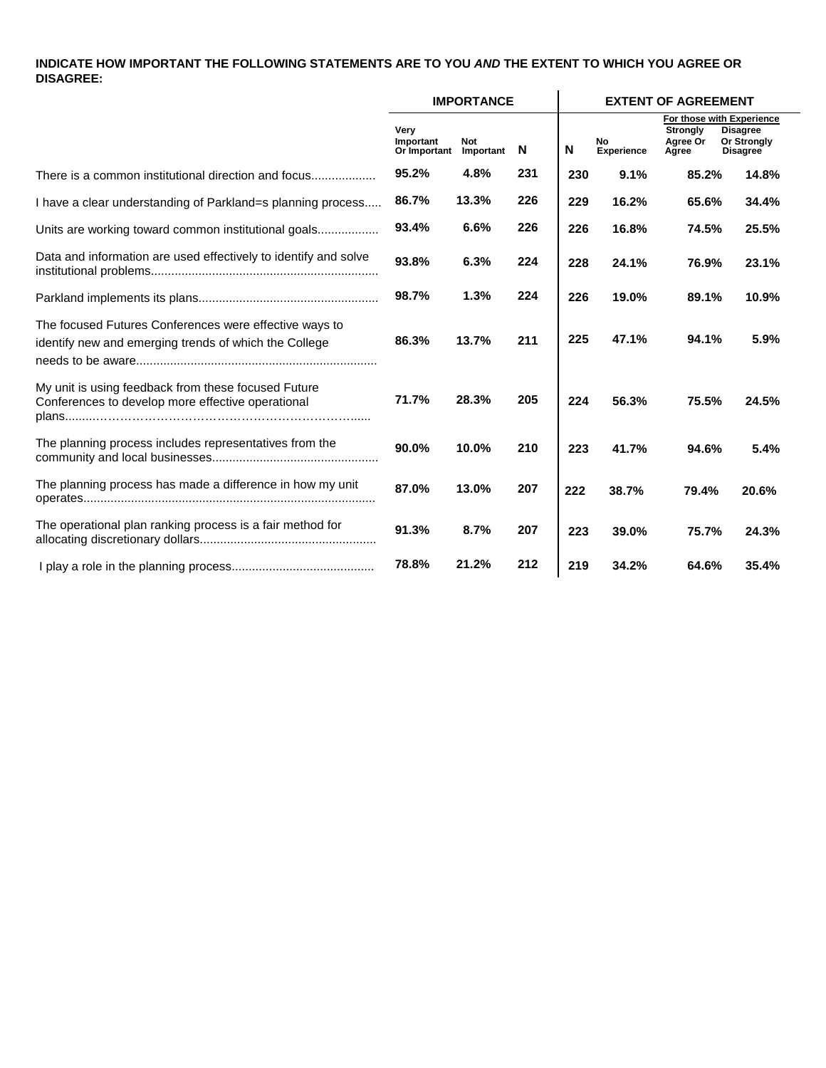### **INDICATE HOW IMPORTANT THE FOLLOWING STATEMENTS ARE TO YOU** *AND* **THE EXTENT TO WHICH YOU AGREE OR DISAGREE:**

|                                                                                                                 |                                   | <b>IMPORTANCE</b> |     |     | <b>EXTENT OF AGREEMENT</b> |                                      |                                                                                       |  |  |
|-----------------------------------------------------------------------------------------------------------------|-----------------------------------|-------------------|-----|-----|----------------------------|--------------------------------------|---------------------------------------------------------------------------------------|--|--|
|                                                                                                                 | Very<br>Important<br>Or Important | Not<br>Important  | N   | N   | No<br><b>Experience</b>    | <b>Strongly</b><br>Agree Or<br>Agree | For those with Experience<br><b>Disagree</b><br><b>Or Strongly</b><br><b>Disagree</b> |  |  |
| There is a common institutional direction and focus                                                             | 95.2%                             | 4.8%              | 231 | 230 | 9.1%                       | 85.2%                                | 14.8%                                                                                 |  |  |
| I have a clear understanding of Parkland=s planning process                                                     | 86.7%                             | 13.3%             | 226 | 229 | 16.2%                      | 65.6%                                | 34.4%                                                                                 |  |  |
| Units are working toward common institutional goals                                                             | 93.4%                             | 6.6%              | 226 | 226 | 16.8%                      | 74.5%                                | 25.5%                                                                                 |  |  |
| Data and information are used effectively to identify and solve                                                 | 93.8%                             | 6.3%              | 224 | 228 | 24.1%                      | 76.9%                                | 23.1%                                                                                 |  |  |
|                                                                                                                 | 98.7%                             | 1.3%              | 224 | 226 | 19.0%                      | 89.1%                                | 10.9%                                                                                 |  |  |
| The focused Futures Conferences were effective ways to<br>identify new and emerging trends of which the College | 86.3%                             | 13.7%             | 211 | 225 | 47.1%                      | 94.1%                                | 5.9%                                                                                  |  |  |
| My unit is using feedback from these focused Future<br>Conferences to develop more effective operational        | 71.7%                             | 28.3%             | 205 | 224 | 56.3%                      | 75.5%                                | 24.5%                                                                                 |  |  |
| The planning process includes representatives from the                                                          | 90.0%                             | 10.0%             | 210 | 223 | 41.7%                      | 94.6%                                | 5.4%                                                                                  |  |  |
| The planning process has made a difference in how my unit                                                       | 87.0%                             | 13.0%             | 207 | 222 | 38.7%                      | 79.4%                                | 20.6%                                                                                 |  |  |
| The operational plan ranking process is a fair method for                                                       | 91.3%                             | 8.7%              | 207 | 223 | 39.0%                      | 75.7%                                | 24.3%                                                                                 |  |  |
|                                                                                                                 | 78.8%                             | 21.2%             | 212 | 219 | 34.2%                      | 64.6%                                | 35.4%                                                                                 |  |  |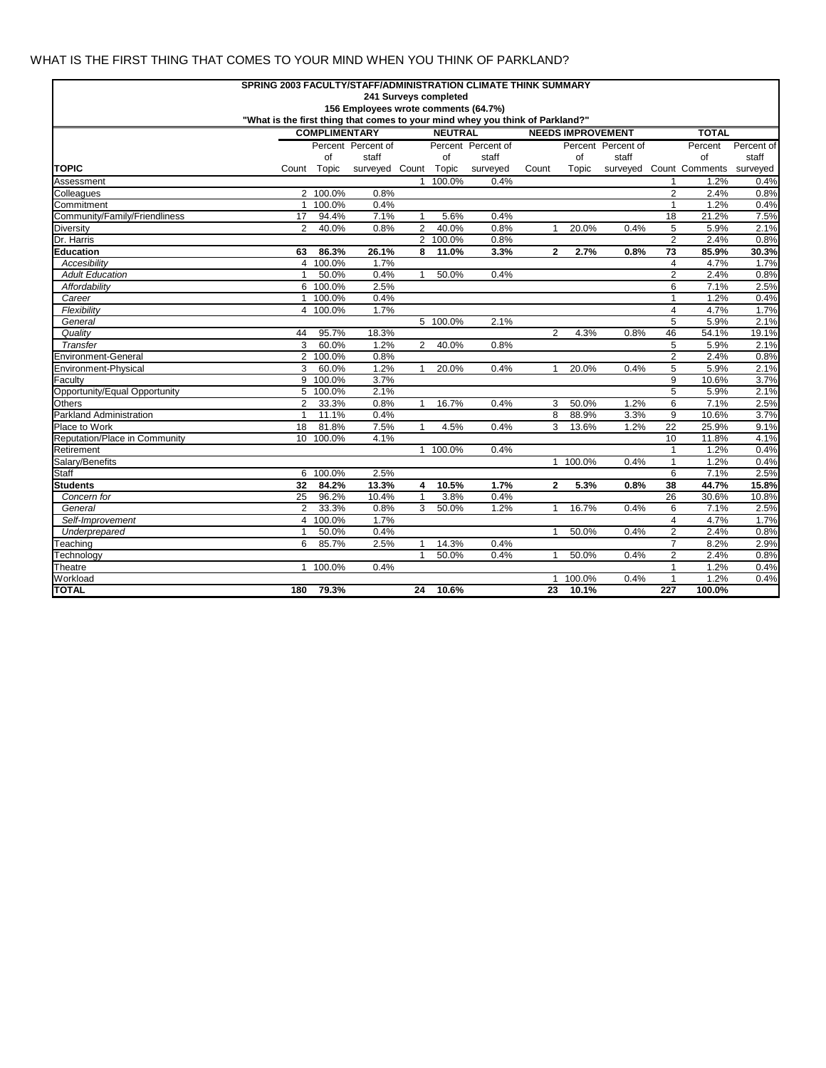### WHAT IS THE FIRST THING THAT COMES TO YOUR MIND WHEN YOU THINK OF PARKLAND?

| SPRING 2003 FACULTY/STAFF/ADMINISTRATION CLIMATE THINK SUMMARY                |                                        |             |                      |                |          |                          |                |          |                    |                              |                                  |              |  |
|-------------------------------------------------------------------------------|----------------------------------------|-------------|----------------------|----------------|----------|--------------------------|----------------|----------|--------------------|------------------------------|----------------------------------|--------------|--|
| 241 Surveys completed                                                         |                                        |             |                      |                |          |                          |                |          |                    |                              |                                  |              |  |
| 156 Employees wrote comments (64.7%)                                          |                                        |             |                      |                |          |                          |                |          |                    |                              |                                  |              |  |
| "What is the first thing that comes to your mind whey you think of Parkland?" |                                        |             |                      |                |          |                          |                |          |                    |                              |                                  |              |  |
|                                                                               | <b>COMPLIMENTARY</b><br><b>NEUTRAL</b> |             |                      |                |          | <b>NEEDS IMPROVEMENT</b> |                |          |                    |                              | <b>TOTAL</b>                     |              |  |
|                                                                               |                                        |             | Percent Percent of   |                |          | Percent Percent of       |                |          | Percent Percent of |                              | Percent                          | Percent of   |  |
|                                                                               |                                        | of          | staff                |                | of       | staff                    |                | of       | staff              |                              | of                               | staff        |  |
| <b>TOPIC</b>                                                                  |                                        | Count Topic | surveyed Count Topic |                |          | surveyed                 | Count          | Topic    |                    |                              | surveyed Count Comments surveyed |              |  |
| Assessment                                                                    |                                        |             |                      |                | 1 100.0% | 0.4%                     |                |          |                    | 1                            | 1.2%                             | 0.4%         |  |
| Colleagues                                                                    |                                        | 2 100.0%    | 0.8%                 |                |          |                          |                |          |                    | $\overline{2}$               | 2.4%                             | 0.8%         |  |
| Commitment                                                                    | $\mathbf{1}$                           | 100.0%      | 0.4%                 |                |          |                          |                |          |                    | $\mathbf{1}$                 | 1.2%                             | 0.4%         |  |
| Community/Family/Friendliness                                                 | 17                                     | 94.4%       | 7.1%                 | $\mathbf{1}$   | 5.6%     | 0.4%                     |                |          |                    | 18                           | 21.2%                            | 7.5%         |  |
| Diversity                                                                     | $\overline{2}$                         | 40.0%       | 0.8%                 | $\overline{2}$ | 40.0%    | 0.8%                     | $\mathbf{1}$   | 20.0%    | 0.4%               | 5                            | 5.9%                             | 2.1%         |  |
| Dr. Harris                                                                    |                                        |             |                      |                | 2 100.0% | 0.8%                     |                |          |                    | 2                            | 2.4%                             | 0.8%         |  |
| <b>Education</b>                                                              | 63                                     | 86.3%       | 26.1%                | 8              | 11.0%    | 3.3%                     | $\mathbf{2}$   | 2.7%     | 0.8%               | $\overline{73}$              | 85.9%                            | 30.3%        |  |
| Accesibility                                                                  | 4                                      | 100.0%      | 1.7%                 |                |          |                          |                |          |                    | 4                            | 4.7%                             | 1.7%         |  |
| <b>Adult Education</b>                                                        |                                        | 50.0%       | 0.4%                 | $\mathbf{1}$   | 50.0%    | 0.4%                     |                |          |                    | 2                            | 2.4%                             | 0.8%         |  |
| Affordability                                                                 |                                        | 6 100.0%    | 2.5%                 |                |          |                          |                |          |                    | 6                            | 7.1%                             | 2.5%         |  |
| Career                                                                        |                                        | 1 100.0%    | 0.4%                 |                |          |                          |                |          |                    | $\mathbf{1}$                 | 1.2%                             | 0.4%         |  |
| Flexibility                                                                   |                                        | 4 100.0%    | 1.7%                 |                |          |                          |                |          |                    | $\overline{4}$               | 4.7%                             | 1.7%         |  |
| General                                                                       |                                        |             |                      |                | 5 100.0% | 2.1%                     |                |          |                    | 5                            | 5.9%                             | 2.1%         |  |
| Quality                                                                       | 44                                     | 95.7%       | 18.3%                |                |          |                          | 2              | 4.3%     | 0.8%               | 46                           | 54.1%                            | 19.1%        |  |
| Transfer                                                                      | 3                                      | 60.0%       | 1.2%                 | $\overline{2}$ | 40.0%    | 0.8%                     |                |          |                    | 5                            | 5.9%                             | 2.1%         |  |
| Environment-General                                                           | $\overline{2}$                         | 100.0%      | 0.8%                 |                |          |                          |                |          |                    | 2                            | 2.4%                             | 0.8%         |  |
| Environment-Physical                                                          | 3                                      | 60.0%       | 1.2%                 | $\mathbf{1}$   | 20.0%    | 0.4%                     | $\mathbf 1$    | 20.0%    | 0.4%               | 5                            | 5.9%                             | 2.1%         |  |
| Faculty                                                                       | 9                                      | 100.0%      | 3.7%                 |                |          |                          |                |          |                    | 9                            | 10.6%                            | 3.7%         |  |
| Opportunity/Equal Opportunity                                                 | 5                                      | 100.0%      | 2.1%                 |                |          |                          |                |          | 1.2%               | 5                            | 5.9%                             | 2.1%         |  |
| Others                                                                        | $\overline{2}$                         | 33.3%       | 0.8%                 | $\mathbf{1}$   | 16.7%    | 0.4%                     | 3              | 50.0%    |                    | 6                            | 7.1%                             | 2.5%         |  |
| Parkland Administration                                                       | $\mathbf{1}$                           | 11.1%       | 0.4%                 |                |          |                          | 8              | 88.9%    | 3.3%               | 9                            | 10.6%                            | 3.7%         |  |
| Place to Work                                                                 | 18                                     | 81.8%       | 7.5%<br>4.1%         | 1              | 4.5%     | 0.4%                     | 3              | 13.6%    | 1.2%               | 22<br>10                     | 25.9%                            | 9.1%         |  |
| Reputation/Place in Community<br>Retirement                                   |                                        | 10 100.0%   |                      |                | 1 100.0% | 0.4%                     |                |          |                    |                              | 11.8%<br>1.2%                    | 4.1%<br>0.4% |  |
| Salary/Benefits                                                               |                                        |             |                      |                |          |                          |                | 1 100.0% | 0.4%               | $\mathbf{1}$<br>$\mathbf{1}$ | 1.2%                             | 0.4%         |  |
| Staff                                                                         | 6                                      | 100.0%      | 2.5%                 |                |          |                          |                |          |                    | 6                            | 7.1%                             | 2.5%         |  |
| <b>Students</b>                                                               | 32                                     | 84.2%       | 13.3%                | 4              | 10.5%    | 1.7%                     | $\overline{2}$ | 5.3%     | 0.8%               | 38                           | 44.7%                            | 15.8%        |  |
| Concern for                                                                   | 25                                     | 96.2%       | 10.4%                | $\mathbf{1}$   | 3.8%     | 0.4%                     |                |          |                    | 26                           | 30.6%                            | 10.8%        |  |
| General                                                                       | $\overline{2}$                         | 33.3%       | 0.8%                 | 3              | 50.0%    | 1.2%                     | 1              | 16.7%    | 0.4%               | 6                            | 7.1%                             | 2.5%         |  |
| Self-Improvement                                                              |                                        | 4 100.0%    | 1.7%                 |                |          |                          |                |          |                    | $\overline{4}$               | 4.7%                             | 1.7%         |  |
| Underprepared                                                                 | 1                                      | 50.0%       | 0.4%                 |                |          |                          | $\mathbf 1$    | 50.0%    | 0.4%               | $\overline{2}$               | 2.4%                             | 0.8%         |  |
| Teaching                                                                      | 6                                      | 85.7%       | 2.5%                 | 1              | 14.3%    | 0.4%                     |                |          |                    | $\overline{7}$               | 8.2%                             | 2.9%         |  |
| Technology                                                                    |                                        |             |                      | $\mathbf{1}$   | 50.0%    | 0.4%                     | $\mathbf{1}$   | 50.0%    | 0.4%               | $\overline{2}$               | 2.4%                             | 0.8%         |  |
| Theatre                                                                       |                                        | 1 100.0%    | 0.4%                 |                |          |                          |                |          |                    | $\mathbf{1}$                 | 1.2%                             | 0.4%         |  |
| Workload                                                                      |                                        |             |                      |                |          |                          | 1              | 100.0%   | 0.4%               | $\mathbf{1}$                 | 1.2%                             | 0.4%         |  |
| <b>TOTAL</b>                                                                  | 180                                    | 79.3%       |                      | 24             | 10.6%    |                          | 23             | 10.1%    |                    | 227                          | 100.0%                           |              |  |